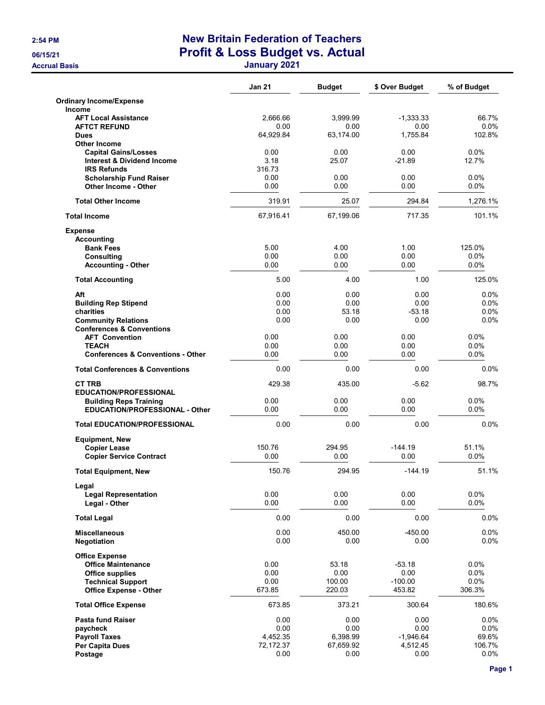## 2:54 PM New Britain Federation of Teachers 06/15/21 **Profit & Loss Budget vs. Actual**

Accrual Basis January 2021

|                                                                      | Jan 21       | <b>Budget</b> | \$ Over Budget   | % of Budget     |
|----------------------------------------------------------------------|--------------|---------------|------------------|-----------------|
| <b>Ordinary Income/Expense</b><br><b>Income</b>                      |              |               |                  |                 |
| <b>AFT Local Assistance</b>                                          | 2.666.66     | 3,999.99      | $-1,333.33$      | 66.7%           |
| <b>AFTCT REFUND</b>                                                  | 0.00         | 0.00          | 0.00             | $0.0\%$         |
| <b>Dues</b>                                                          | 64,929.84    | 63,174.00     | 1,755.84         | 102.8%          |
| <b>Other Income</b>                                                  |              |               |                  |                 |
| <b>Capital Gains/Losses</b><br><b>Interest &amp; Dividend Income</b> | 0.00<br>3.18 | 0.00<br>25.07 | 0.00<br>$-21.89$ | 0.0%<br>12.7%   |
| <b>IRS Refunds</b>                                                   | 316.73       |               |                  |                 |
| <b>Scholarship Fund Raiser</b>                                       | 0.00         | 0.00          | 0.00             | 0.0%            |
| Other Income - Other                                                 | 0.00         | 0.00          | 0.00             | 0.0%            |
| <b>Total Other Income</b>                                            | 319.91       | 25.07         | 294.84           | 1,276.1%        |
| <b>Total Income</b>                                                  | 67,916.41    | 67,199.06     | 717.35           | 101.1%          |
| <b>Expense</b>                                                       |              |               |                  |                 |
| <b>Accounting</b>                                                    |              |               |                  |                 |
| <b>Bank Fees</b>                                                     | 5.00         | 4.00          | 1.00             | 125.0%          |
| <b>Consulting</b>                                                    | 0.00         | 0.00          | 0.00             | $0.0\%$         |
| <b>Accounting - Other</b>                                            | 0.00         | 0.00          | 0.00             | 0.0%            |
| <b>Total Accounting</b>                                              | 5.00         | 4.00          | 1.00             | 125.0%          |
| Aft                                                                  | 0.00         | 0.00          | 0.00             | $0.0\%$         |
| <b>Building Rep Stipend</b>                                          | 0.00         | 0.00          | 0.00             | 0.0%            |
| charities                                                            | 0.00         | 53.18         | -53.18           | $0.0\%$         |
| <b>Community Relations</b>                                           | 0.00         | 0.00          | 0.00             | 0.0%            |
| <b>Conferences &amp; Conventions</b>                                 |              |               |                  |                 |
| <b>AFT Convention</b>                                                | 0.00         | 0.00          | 0.00             | 0.0%            |
| <b>TEACH</b><br><b>Conferences &amp; Conventions - Other</b>         | 0.00<br>0.00 | 0.00<br>0.00  | 0.00<br>0.00     | 0.0%<br>$0.0\%$ |
|                                                                      |              |               |                  |                 |
| <b>Total Conferences &amp; Conventions</b>                           | 0.00         | 0.00          | 0.00             | 0.0%            |
| <b>CT TRB</b><br><b>EDUCATION/PROFESSIONAL</b>                       | 429.38       | 435.00        | $-5.62$          | 98.7%           |
| <b>Building Reps Training</b>                                        | 0.00         | 0.00          | 0.00             | $0.0\%$         |
| EDUCATION/PROFESSIONAL - Other                                       | 0.00         | 0.00          | 0.00             | 0.0%            |
| <b>Total EDUCATION/PROFESSIONAL</b>                                  | 0.00         | 0.00          | 0.00             | 0.0%            |
| <b>Equipment, New</b>                                                |              |               |                  |                 |
| <b>Copier Lease</b>                                                  | 150.76       | 294.95        | $-144.19$        | 51.1%           |
| <b>Copier Service Contract</b>                                       | 0.00         | 0.00          | 0.00             | 0.0%            |
| <b>Total Equipment, New</b>                                          | 150.76       | 294.95        | $-144.19$        | 51.1%           |
| Legal                                                                |              |               |                  |                 |
| <b>Legal Representation</b>                                          | 0.00         | 0.00          | 0.00             | $0.0\%$         |
| Legal - Other                                                        | 0.00         | 0.00          | 0.00             | 0.0%            |
| <b>Total Legal</b>                                                   | 0.00         | 0.00          | 0.00             | 0.0%            |
| <b>Miscellaneous</b>                                                 | 0.00         | 450.00        | $-450.00$        | 0.0%            |
| <b>Negotiation</b>                                                   | 0.00         | 0.00          | 0.00             | 0.0%            |
| <b>Office Expense</b>                                                |              |               |                  |                 |
| <b>Office Maintenance</b>                                            | 0.00         | 53.18         | $-53.18$         | 0.0%            |
| Office supplies                                                      | 0.00         | 0.00          | 0.00             | 0.0%            |
| <b>Technical Support</b>                                             | 0.00         | 100.00        | $-100.00$        | 0.0%            |
| <b>Office Expense - Other</b>                                        | 673.85       | 220.03        | 453.82           | 306.3%          |
| <b>Total Office Expense</b>                                          | 673.85       | 373.21        | 300.64           | 180.6%          |
| <b>Pasta fund Raiser</b>                                             | 0.00         | 0.00          | 0.00             | $0.0\%$         |
| paycheck                                                             | 0.00         | 0.00          | 0.00             | 0.0%            |
| <b>Payroll Taxes</b>                                                 | 4,452.35     | 6,398.99      | $-1,946.64$      | 69.6%           |
| <b>Per Capita Dues</b>                                               | 72,172.37    | 67,659.92     | 4,512.45         | 106.7%          |
| Postage                                                              | 0.00         | 0.00          | 0.00             | 0.0%            |